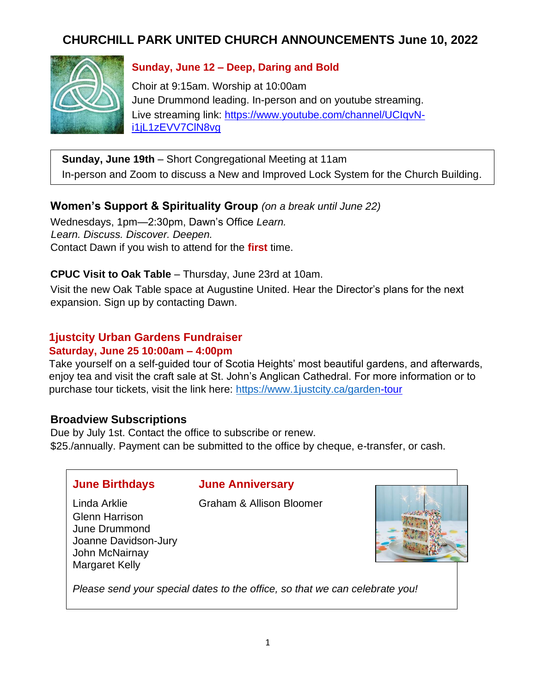# **CHURCHILL PARK UNITED CHURCH ANNOUNCEMENTS June 10, 2022**



### **Sunday, June 12 – Deep, Daring and Bold**

Choir at 9:15am. Worship at 10:00am June Drummond leading. In-person and on youtube streaming. Live streaming link: [https://www.youtube.com/channel/UCIqvN](https://www.youtube.com/channel/UCIqvN-i1jL1zEVV-7ClN8vg)[i1jL1zEVV7ClN8vg](https://www.youtube.com/channel/UCIqvN-i1jL1zEVV-7ClN8vg)

**Sunday, June 19th** – Short Congregational Meeting at 11am In-person and Zoom to discuss a New and Improved Lock System for the Church Building.

### **Women's Support & Spirituality Group** *(on a break until June 22)*

Wednesdays, 1pm—2:30pm, Dawn's Office *Learn. Learn. Discuss. Discover. Deepen.*  Contact Dawn if you wish to attend for the **first** time.

#### **CPUC Visit to Oak Table** – Thursday, June 23rd at 10am.

Visit the new Oak Table space at Augustine United. Hear the Director's plans for the next expansion. Sign up by contacting Dawn.

### **1justcity Urban Gardens Fundraiser**

#### **Saturday, June 25 10:00am – 4:00pm**

Take yourself on a self-guided tour of Scotia Heights' most beautiful gardens, and afterwards, enjoy tea and visit the craft sale at St. John's Anglican Cathedral. For more information or to purchase tour tickets, visit the link here:<https://www.1justcity.ca/garden>[-tour](https://www.1justcity.ca/garden-tour)

#### **Broadview Subscriptions**

Due by July 1st. Contact the office to subscribe or renew. \$25./annually. Payment can be submitted to the office by cheque, e-transfer, or cash.

|  | <b>June Birthdays</b> |
|--|-----------------------|
|--|-----------------------|

Glenn Harrison June Drummond

John McNairnay Margaret Kelly

Joanne Davidson-Jury

#### **June Anniversary**

Linda Arklie Graham & Allison Bloomer



*Please send your special dates to the office, so that we can celebrate you!*